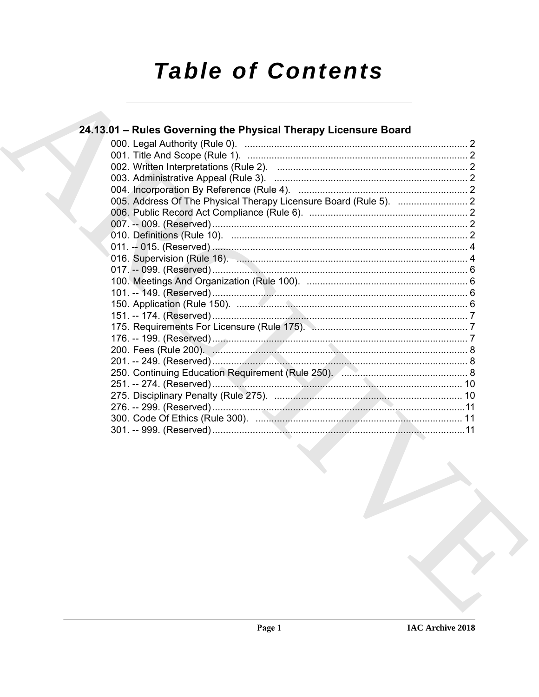# **Table of Contents**

| 24.13.01 – Rules Governing the Physical Therapy Licensure Board |  |
|-----------------------------------------------------------------|--|
|                                                                 |  |
|                                                                 |  |
|                                                                 |  |
|                                                                 |  |
|                                                                 |  |
|                                                                 |  |
|                                                                 |  |
|                                                                 |  |
|                                                                 |  |
|                                                                 |  |
|                                                                 |  |
|                                                                 |  |
|                                                                 |  |
|                                                                 |  |
|                                                                 |  |
|                                                                 |  |
|                                                                 |  |
|                                                                 |  |
|                                                                 |  |
|                                                                 |  |
|                                                                 |  |
|                                                                 |  |
|                                                                 |  |
|                                                                 |  |
|                                                                 |  |
|                                                                 |  |
|                                                                 |  |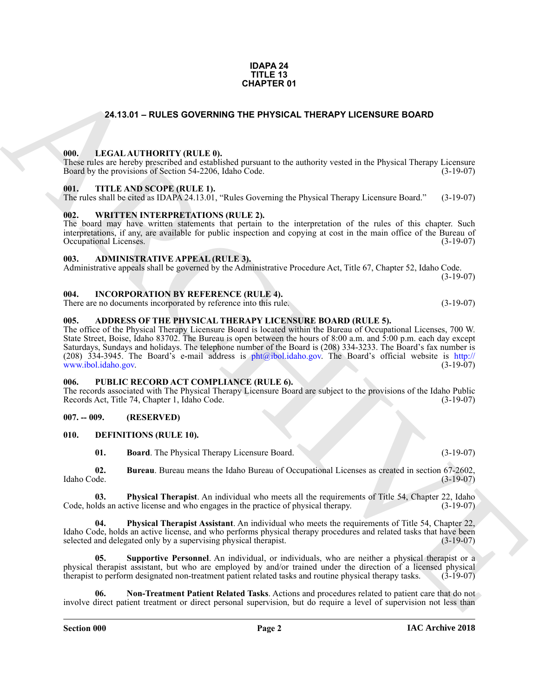#### **IDAPA 24 TITLE 13 CHAPTER 01**

# **24.13.01 – RULES GOVERNING THE PHYSICAL THERAPY LICENSURE BOARD**

#### <span id="page-1-20"></span><span id="page-1-1"></span><span id="page-1-0"></span>**000. LEGAL AUTHORITY (RULE 0).**

These rules are hereby prescribed and established pursuant to the authority vested in the Physical Therapy Licensure Board by the provisions of Section 54-2206, Idaho Code. (3-19-07)

#### <span id="page-1-22"></span><span id="page-1-2"></span>**001. TITLE AND SCOPE (RULE 1).**

The rules shall be cited as IDAPA 24.13.01, "Rules Governing the Physical Therapy Licensure Board." (3-19-07)

### <span id="page-1-23"></span><span id="page-1-3"></span>**002. WRITTEN INTERPRETATIONS (RULE 2).**

The board may have written statements that pertain to the interpretation of the rules of this chapter. Such interpretations, if any, are available for public inspection and copying at cost in the main office of the Bureau of Occupational Licenses. (3-19-07) Occupational Licenses.

### <span id="page-1-11"></span><span id="page-1-4"></span>**003. ADMINISTRATIVE APPEAL (RULE 3).**

Administrative appeals shall be governed by the Administrative Procedure Act, Title 67, Chapter 52, Idaho Code. (3-19-07)

#### <span id="page-1-19"></span><span id="page-1-5"></span>**004. INCORPORATION BY REFERENCE (RULE 4).**

There are no documents incorporated by reference into this rule. (3-19-07)

### <span id="page-1-10"></span><span id="page-1-6"></span>**005. ADDRESS OF THE PHYSICAL THERAPY LICENSURE BOARD (RULE 5).**

**24.13.01 – RULES OVERNIMO THE PHYSICAL THERAPY LICENSURE BOARD<br>
1991. LEGAL ALVITONITY (RULE P), had paramete the analysis veried in the Paysical Therapy License<br>
1991. THE ANS SCOPE RELT. II.<br>
1991. THE ANS SCOPE RELT.** The office of the Physical Therapy Licensure Board is located within the Bureau of Occupational Licenses, 700 W. State Street, Boise, Idaho 83702. The Bureau is open between the hours of 8:00 a.m. and 5:00 p.m. each day except Saturdays, Sundays and holidays. The telephone number of the Board is (208) 334-3233. The Board's fax number is (208) 334-3945. The Board's e-mail address is  $phi(\omega)$ ibol.idaho.gov. The Board's official website is http:// www.ibol.idaho.gov. (3-19-07)

#### <span id="page-1-21"></span><span id="page-1-7"></span>**006. PUBLIC RECORD ACT COMPLIANCE (RULE 6).**

The records associated with The Physical Therapy Licensure Board are subject to the provisions of the Idaho Public Records Act, Title 74, Chapter 1, Idaho Code. (3-19-07)

### <span id="page-1-8"></span>**007. -- 009. (RESERVED)**

#### <span id="page-1-9"></span>**010. DEFINITIONS (RULE 10).**

<span id="page-1-16"></span><span id="page-1-14"></span><span id="page-1-13"></span><span id="page-1-12"></span>**01. Board**. The Physical Therapy Licensure Board. (3-19-07)

**02. Bureau**. Bureau means the Idaho Bureau of Occupational Licenses as created in section 67-2602, Idaho Code. (3-19-07)

**03. Physical Therapist**. An individual who meets all the requirements of Title 54, Chapter 22, Idaho Ids an active license and who engages in the practice of physical therapy. (3-19-07) Code, holds an active license and who engages in the practice of physical therapy.

<span id="page-1-17"></span>**04. Physical Therapist Assistant**. An individual who meets the requirements of Title 54, Chapter 22, Idaho Code, holds an active license, and who performs physical therapy procedures and related tasks that have been selected and delegated only by a supervising physical therapist. (3-19-07)

<span id="page-1-18"></span>**05. Supportive Personnel**. An individual, or individuals, who are neither a physical therapist or a physical therapist assistant, but who are employed by and/or trained under the direction of a licensed physical therapist to perform designated non-treatment patient related tasks and routine physical therapy tasks. (3-19therapist to perform designated non-treatment patient related tasks and routine physical therapy tasks.

<span id="page-1-15"></span>**06. Non-Treatment Patient Related Tasks**. Actions and procedures related to patient care that do not involve direct patient treatment or direct personal supervision, but do require a level of supervision not less than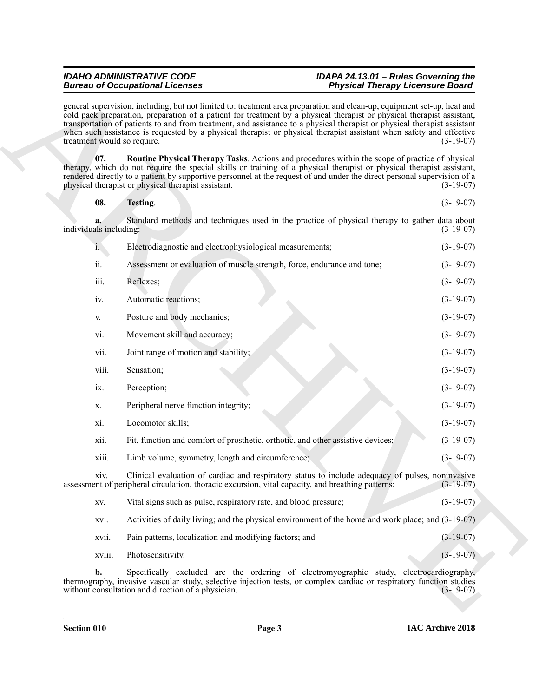# *IDAHO ADMINISTRATIVE CODE IDAPA 24.13.01 – Rules Governing the* **Physical Therapy Licensure Board**

<span id="page-2-1"></span><span id="page-2-0"></span>

| 08. | Testing. | $(3-19-07)$ |
|-----|----------|-------------|
|-----|----------|-------------|

|                             | <b>Bureau of Occupational Licenses</b>                                                                                                                                                                                                                                                                                                                                                                                                                                                               | <b>Physical Therapy Licensure Board</b> |
|-----------------------------|------------------------------------------------------------------------------------------------------------------------------------------------------------------------------------------------------------------------------------------------------------------------------------------------------------------------------------------------------------------------------------------------------------------------------------------------------------------------------------------------------|-----------------------------------------|
| treatment would so require. | general supervision, including, but not limited to: treatment area preparation and clean-up, equipment set-up, heat and<br>cold pack preparation, preparation of a patient for treatment by a physical therapist or physical therapist assistant,<br>transportation of patients to and from treatment, and assistance to a physical therapist or physical therapist assistant<br>when such assistance is requested by a physical therapist or physical therapist assistant when safety and effective | $(3-19-07)$                             |
| 07.                         | Routine Physical Therapy Tasks. Actions and procedures within the scope of practice of physical<br>therapy, which do not require the special skills or training of a physical therapist or physical therapist assistant,<br>rendered directly to a patient by supportive personnel at the request of and under the direct personal supervision of a<br>physical therapist or physical therapist assistant.                                                                                           | $(3-19-07)$                             |
| 08.                         | Testing.                                                                                                                                                                                                                                                                                                                                                                                                                                                                                             | $(3-19-07)$                             |
| individuals including:      | Standard methods and techniques used in the practice of physical therapy to gather data about                                                                                                                                                                                                                                                                                                                                                                                                        | $(3-19-07)$                             |
| $i_{\cdot}$                 | Electrodiagnostic and electrophysiological measurements;                                                                                                                                                                                                                                                                                                                                                                                                                                             | $(3-19-07)$                             |
| ii.                         | Assessment or evaluation of muscle strength, force, endurance and tone;                                                                                                                                                                                                                                                                                                                                                                                                                              | $(3-19-07)$                             |
| iii.                        | Reflexes;                                                                                                                                                                                                                                                                                                                                                                                                                                                                                            | $(3-19-07)$                             |
| iv.                         | Automatic reactions;                                                                                                                                                                                                                                                                                                                                                                                                                                                                                 | $(3-19-07)$                             |
| V.                          | Posture and body mechanics;                                                                                                                                                                                                                                                                                                                                                                                                                                                                          | $(3-19-07)$                             |
| vi.                         | Movement skill and accuracy;                                                                                                                                                                                                                                                                                                                                                                                                                                                                         | $(3-19-07)$                             |
| vii.                        | Joint range of motion and stability;                                                                                                                                                                                                                                                                                                                                                                                                                                                                 | $(3-19-07)$                             |
| viii.                       | Sensation;                                                                                                                                                                                                                                                                                                                                                                                                                                                                                           | $(3-19-07)$                             |
| ix.                         | Perception;                                                                                                                                                                                                                                                                                                                                                                                                                                                                                          | $(3-19-07)$                             |
| X.                          | Peripheral nerve function integrity;                                                                                                                                                                                                                                                                                                                                                                                                                                                                 | $(3-19-07)$                             |
| xi.                         | Locomotor skills;                                                                                                                                                                                                                                                                                                                                                                                                                                                                                    | $(3-19-07)$                             |
| xii.                        | Fit, function and comfort of prosthetic, orthotic, and other assistive devices;                                                                                                                                                                                                                                                                                                                                                                                                                      | $(3-19-07)$                             |
| xiii.                       | Limb volume, symmetry, length and circumference;                                                                                                                                                                                                                                                                                                                                                                                                                                                     | $(3-19-07)$                             |
| X1V.                        | Clinical evaluation of cardiac and respiratory status to include adequacy of pulses, noninvasive<br>assessment of peripheral circulation, thoracic excursion, vital capacity, and breathing patterns;                                                                                                                                                                                                                                                                                                | $(3-19-07)$                             |
| XV.                         | Vital signs such as pulse, respiratory rate, and blood pressure;                                                                                                                                                                                                                                                                                                                                                                                                                                     | $(3-19-07)$                             |
| xvi.                        | Activities of daily living; and the physical environment of the home and work place; and (3-19-07)                                                                                                                                                                                                                                                                                                                                                                                                   |                                         |
| xvii.                       | Pain patterns, localization and modifying factors; and                                                                                                                                                                                                                                                                                                                                                                                                                                               | $(3-19-07)$                             |
| xviii.                      | Photosensitivity.                                                                                                                                                                                                                                                                                                                                                                                                                                                                                    | $(3-19-07)$                             |
| b.                          | Specifically excluded are the ordering of electromyographic study, electrocardiography,<br>thermography, invasive vascular study, selective injection tests, or complex cardiac or respiratory function studies<br>without consultation and direction of a physician.                                                                                                                                                                                                                                | $(3-19-07)$                             |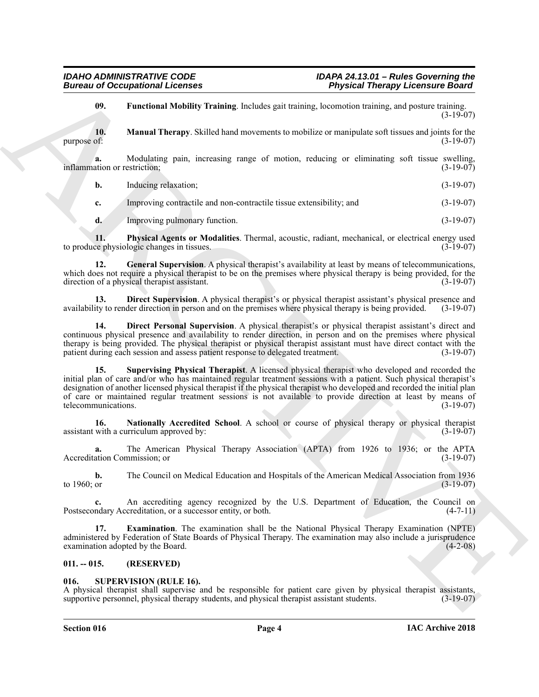<span id="page-3-7"></span><span id="page-3-5"></span>**09. Functional Mobility Training**. Includes gait training, locomotion training, and posture training.  $(3-19-07)$ 

**10.** Manual Therapy. Skilled hand movements to mobilize or manipulate soft tissues and joints for the purpose of: (3-19-07) purpose of:  $(3-19-07)$ 

**a.** Modulating pain, increasing range of motion, reducing or eliminating soft tissue swelling, (3-19-07) inflammation or restriction;

| b. | Inducing relaxation: | $(3-19-07)$ |
|----|----------------------|-------------|
|----|----------------------|-------------|

**c.** Improving contractile and non-contractile tissue extensibility; and (3-19-07)

<span id="page-3-9"></span><span id="page-3-6"></span>**d.** Improving pulmonary function. (3-19-07)

**11. Physical Agents or Modalities**. Thermal, acoustic, radiant, mechanical, or electrical energy used the physiologic changes in tissues. (3-19-07) to produce physiologic changes in tissues.

**12. General Supervision**. A physical therapist's availability at least by means of telecommunications, which does not require a physical therapist to be on the premises where physical therapy is being provided, for the direction of a physical therapist assistant. (3-19-07)

<span id="page-3-3"></span>**13. Direct Supervision**. A physical therapist's or physical therapist assistant's physical presence and availability to render direction in person and on the premises where physical therapy is being provided. (3-19-07)

<span id="page-3-10"></span><span id="page-3-2"></span>**14. Direct Personal Supervision**. A physical therapist's or physical therapist assistant's direct and continuous physical presence and availability to render direction, in person and on the premises where physical therapy is being provided. The physical therapist or physical therapist assistant must have direct contact with the patient during each session and assess patient response to delegated treatment. (3-19-07) patient during each session and assess patient response to delegated treatment.

Bureau of Occupational Lebenses<br>
We are considered the state of the state of the state of the state of the state of the state of the state of the state of the state of the state of the state of the state of the state of t **15. Supervising Physical Therapist**. A licensed physical therapist who developed and recorded the initial plan of care and/or who has maintained regular treatment sessions with a patient. Such physical therapist's designation of another licensed physical therapist if the physical therapist who developed and recorded the initial plan of care or maintained regular treatment sessions is not available to provide direction at least by means of telecommunications. (3-19-07) telecommunications.

<span id="page-3-8"></span>**16. Nationally Accredited School**. A school or course of physical therapy or physical therapist  $\alpha$  assistant with a curriculum approved by: (3-19-07)

**a.** The American Physical Therapy Association (APTA) from 1926 to 1936; or the APTA Accreditation Commission; or (3-19-07)

**b.** The Council on Medical Education and Hospitals of the American Medical Association from 1936 to 1960; or (3-19-07) to 1960; or  $(3-19-07)$ 

**c.** An accrediting agency recognized by the U.S. Department of Education, the Council on Postsecondary Accreditation, or a successor entity, or both. (4-7-11)

<span id="page-3-4"></span>**17. Examination**. The examination shall be the National Physical Therapy Examination (NPTE) administered by Federation of State Boards of Physical Therapy. The examination may also include a jurisprudence examination adopted by the Board. (4-2-08)

# <span id="page-3-0"></span>**011. -- 015. (RESERVED)**

### <span id="page-3-11"></span><span id="page-3-1"></span>**016. SUPERVISION (RULE 16).**

A physical therapist shall supervise and be responsible for patient care given by physical therapist assistants, supportive personnel, physical therapy students, and physical therapist assistant students. (3-19-07)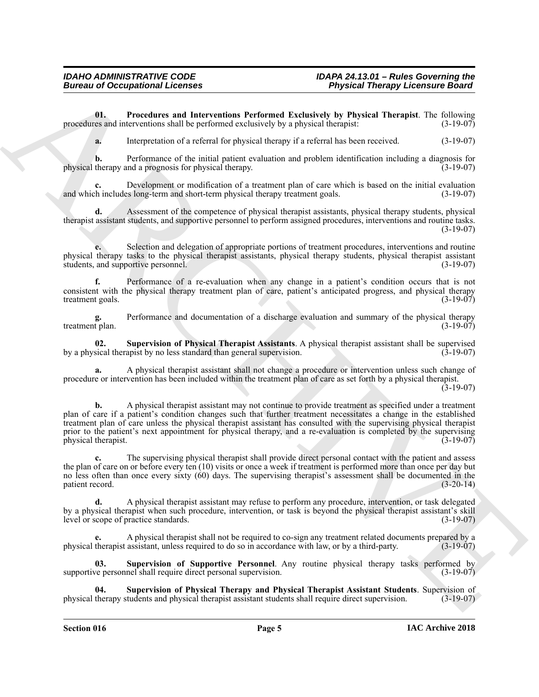**01. Procedures and Interventions Performed Exclusively by Physical Therapist**. The following procedures and interventions shall be performed exclusively by a physical therapist: (3-19-07)

<span id="page-4-0"></span>**a.** Interpretation of a referral for physical therapy if a referral has been received. (3-19-07)

**b.** Performance of the initial patient evaluation and problem identification including a diagnosis for physical therapy and a prognosis for physical therapy. (3-19-07)

**c.** Development or modification of a treatment plan of care which is based on the initial evaluation and which includes long-term and short-term physical therapy treatment goals. (3-19-07)

**d.** Assessment of the competence of physical therapist assistants, physical therapy students, physical therapist assistant students, and supportive personnel to perform assigned procedures, interventions and routine tasks. (3-19-07)

**e.** Selection and delegation of appropriate portions of treatment procedures, interventions and routine physical therapy tasks to the physical therapist assistants, physical therapy students, physical therapist assistant students, and supportive personnel. (3-19-07)

**f.** Performance of a re-evaluation when any change in a patient's condition occurs that is not consistent with the physical therapy treatment plan of care, patient's anticipated progress, and physical therapy treatment goals.

**g.** Performance and documentation of a discharge evaluation and summary of the physical therapy t plan.  $(3-19-07)$ treatment plan.

<span id="page-4-1"></span>**02. Supervision of Physical Therapist Assistants**. A physical therapist assistant shall be supervised by a physical therapist by no less standard than general supervision.

**a.** A physical therapist assistant shall not change a procedure or intervention unless such change of procedure or intervention has been included within the treatment plan of care as set forth by a physical therapist. (3-19-07)

Bureau of Occupations of Licenses<br>
Universe intervention Parkement Exclusive Projection Properties (Separation Projection Projection Projection Consumer Consumer Consumer Consumer Consumer Consumer Consumer Consumer Consu **b.** A physical therapist assistant may not continue to provide treatment as specified under a treatment plan of care if a patient's condition changes such that further treatment necessitates a change in the established treatment plan of care unless the physical therapist assistant has consulted with the supervising physical therapist prior to the patient's next appointment for physical therapy, and a re-evaluation is completed by the supervising physical therapist. (3-19-07)

**c.** The supervising physical therapist shall provide direct personal contact with the patient and assess the plan of care on or before every ten (10) visits or once a week if treatment is performed more than once per day but no less often than once every sixty (60) days. The supervising therapist's assessment shall be documented in the patient record. (3-20-14)

**d.** A physical therapist assistant may refuse to perform any procedure, intervention, or task delegated by a physical therapist when such procedure, intervention, or task is beyond the physical therapist assistant's skill level or scope of practice standards. (3-19-07)

**e.** A physical therapist shall not be required to co-sign any treatment related documents prepared by a physical therapist assistant, unless required to do so in accordance with law, or by a third-party. (3-19-07)

<span id="page-4-3"></span>**03. Supervision of Supportive Personnel**. Any routine physical therapy tasks performed by supportive personnel shall require direct personal supervision. (3-19-07)

<span id="page-4-2"></span>**04. Supervision of Physical Therapy and Physical Therapist Assistant Students**. Supervision of physical therapy students and physical therapist assistant students shall require direct supervision. (3-19-07)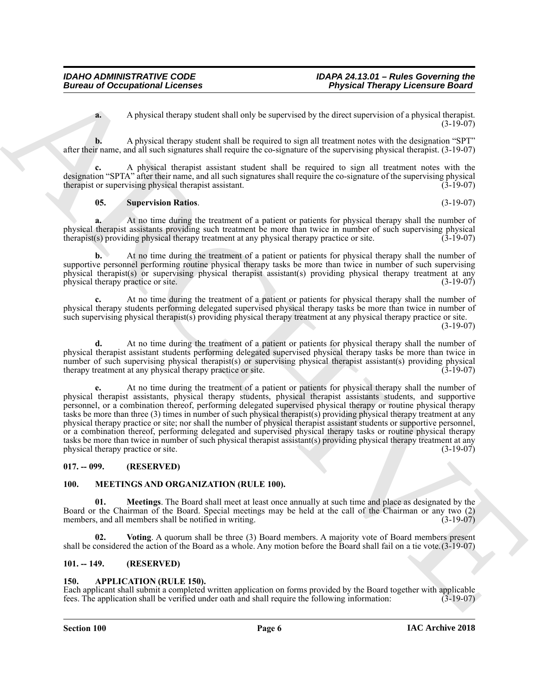**a.** A physical therapy student shall only be supervised by the direct supervision of a physical therapist. (3-19-07)

**b.** A physical therapy student shall be required to sign all treatment notes with the designation "SPT" after their name, and all such signatures shall require the co-signature of the supervising physical therapist. (3-19-07)

**c.** A physical therapist assistant student shall be required to sign all treatment notes with the designation "SPTA" after their name, and all such signatures shall require the co-signature of the supervising physical therapist or supervising physical therapist assistant. (3-19-07)

## <span id="page-5-8"></span>**05. Supervision Ratios**. (3-19-07)

**a.** At no time during the treatment of a patient or patients for physical therapy shall the number of physical therapist assistants providing such treatment be more than twice in number of such supervising physical therapist(s) providing physical therapy treatment at any physical therapy practice or site. (3-19-07) therapist(s) providing physical therapy treatment at any physical therapy practice or site.

**b.** At no time during the treatment of a patient or patients for physical therapy shall the number of supportive personnel performing routine physical therapy tasks be more than twice in number of such supervising physical therapist(s) or supervising physical therapist assistant(s) providing physical therapy treatment at any physical therapy practice or site. (3-19-07)

**c.** At no time during the treatment of a patient or patients for physical therapy shall the number of physical therapy students performing delegated supervised physical therapy tasks be more than twice in number of such supervising physical therapist(s) providing physical therapy treatment at any physical therapy practice or site. (3-19-07)

**d.** At no time during the treatment of a patient or patients for physical therapy shall the number of physical therapist assistant students performing delegated supervised physical therapy tasks be more than twice in number of such supervising physical therapist(s) or supervising physical therapist assistant(s) providing physical therapy treatment at any physical therapy practice or site. (3-19-07) therapy treatment at any physical therapy practice or site.

Bureau of Occupational Lebenses<br>
A physical beams with the spectral the spectral beams and the spectral of the spectral of the spectral of the spectral of the spectral of the spectral of the spectral of the spectral of th **e.** At no time during the treatment of a patient or patients for physical therapy shall the number of physical therapist assistants, physical therapy students, physical therapist assistants students, and supportive personnel, or a combination thereof, performing delegated supervised physical therapy or routine physical therapy tasks be more than three  $(3)$  times in number of such physical therapist $(s)$  providing physical therapy treatment at any physical therapy practice or site; nor shall the number of physical therapist assistant students or supportive personnel, or a combination thereof, performing delegated and supervised physical therapy tasks or routine physical therapy tasks be more than twice in number of such physical therapist assistant(s) providing physical therapy treatment at any<br>(3-19-07) (3-19-07) physical therapy practice or site.

# <span id="page-5-0"></span>**017. -- 099. (RESERVED)**

# <span id="page-5-5"></span><span id="page-5-1"></span>**100. MEETINGS AND ORGANIZATION (RULE 100).**

<span id="page-5-6"></span>**01. Meetings**. The Board shall meet at least once annually at such time and place as designated by the Board or the Chairman of the Board. Special meetings may be held at the call of the Chairman or any two (2) members, and all members shall be notified in writing. (3-19-07)

<span id="page-5-7"></span>**02. Voting**. A quorum shall be three (3) Board members. A majority vote of Board members present shall be considered the action of the Board as a whole. Any motion before the Board shall fail on a tie vote.(3-19-07)

# <span id="page-5-2"></span>**101. -- 149. (RESERVED)**

# <span id="page-5-4"></span><span id="page-5-3"></span>**150. APPLICATION (RULE 150).**

Each applicant shall submit a completed written application on forms provided by the Board together with applicable fees. The application shall be verified under oath and shall require the following information: (3-19-07)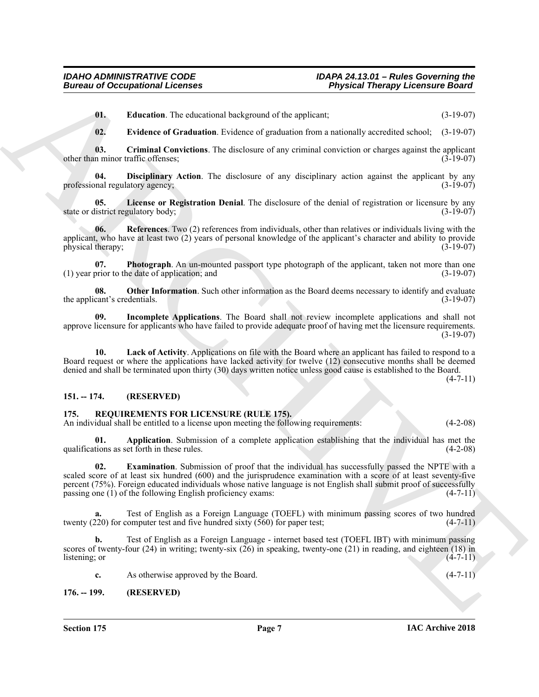<span id="page-6-5"></span>**01. Education**. The educational background of the applicant; (3-19-07)

<span id="page-6-6"></span><span id="page-6-4"></span><span id="page-6-3"></span>**02. Evidence of Graduation**. Evidence of graduation from a nationally accredited school; (3-19-07)

**03.** Criminal Convictions. The disclosure of any criminal conviction or charges against the applicant n minor traffic offenses; other than minor traffic offenses;

**04. Disciplinary Action**. The disclosure of any disciplinary action against the applicant by any professional regulatory agency; (3-19-07)

<span id="page-6-9"></span>**05.** License or Registration Denial. The disclosure of the denial of registration or licensure by any listrict regulatory body; (3-19-07) state or district regulatory body;

<span id="page-6-12"></span>**06.** References. Two (2) references from individuals, other than relatives or individuals living with the applicant, who have at least two  $(2)$  years of personal knowledge of the applicant's character and ability to provide physical therapy;  $(3-19-07)$ physical therapy;

<span id="page-6-11"></span>**07. Photograph**. An un-mounted passport type photograph of the applicant, taken not more than one (1) year prior to the date of application; and (3-19-07)

<span id="page-6-10"></span>**08. Other Information**. Such other information as the Board deems necessary to identify and evaluate cant's credentials. (3-19-07) the applicant's credentials.

<span id="page-6-7"></span>**09. Incomplete Applications**. The Board shall not review incomplete applications and shall not approve licensure for applicants who have failed to provide adequate proof of having met the licensure requirements. (3-19-07)

<span id="page-6-8"></span>**10. Lack of Activity**. Applications on file with the Board where an applicant has failed to respond to a Board request or where the applications have lacked activity for twelve (12) consecutive months shall be deemed denied and shall be terminated upon thirty (30) days written notice unless good cause is established to the Board.  $(4 - 7 - 11)$ 

# <span id="page-6-0"></span>**151. -- 174. (RESERVED)**

### <span id="page-6-13"></span><span id="page-6-1"></span>**175. REQUIREMENTS FOR LICENSURE (RULE 175).**

<span id="page-6-14"></span>An individual shall be entitled to a license upon meeting the following requirements: (4-2-08)

<span id="page-6-15"></span>**01. Application**. Submission of a complete application establishing that the individual has met the tions as set forth in these rules. (4-2-08) qualifications as set forth in these rules.

Bureau of Occupational Lechnics<br>
U. L. Listatus of Graduation Listance of Listane and Constraint Theoretics (3-13-07)<br>
U. L. Listatus of Graduation Listance of Listane and Constraint Listane of Listane and Constraint Theo **02. Examination**. Submission of proof that the individual has successfully passed the NPTE with a scaled score of at least six hundred (600) and the jurisprudence examination with a score of at least seventy-five percent (75%). Foreign educated individuals whose native language is not English shall submit proof of successfully passing one (1) of the following English proficiency exams: (4-7-11)

**a.** Test of English as a Foreign Language (TOEFL) with minimum passing scores of two hundred twenty (220) for computer test and five hundred sixty (560) for paper test; (4-7-11)

**b.** Test of English as a Foreign Language - internet based test (TOEFL IBT) with minimum passing scores of twenty-four (24) in writing; twenty-six (26) in speaking, twenty-one (21) in reading, and eighteen (18) in listening; or (4-7-11) listening; or

**c.** As otherwise approved by the Board. (4-7-11)

<span id="page-6-2"></span>**176. -- 199. (RESERVED)**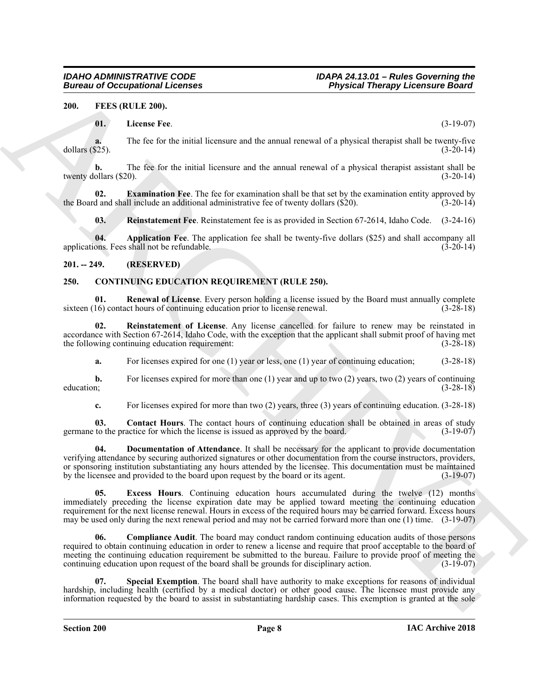<span id="page-7-0"></span>**200. FEES (RULE 200).**

# <span id="page-7-14"></span><span id="page-7-11"></span>**01. License Fee**. (3-19-07)

**a.** The fee for the initial licensure and the annual renewal of a physical therapist shall be twenty-five dollars (\$25). (3-20-14)

**b.** The fee for the initial licensure and the annual renewal of a physical therapist assistant shall be twenty dollars  $(\$20)$ .  $(3-20-14)$ 

**02. Examination Fee**. The fee for examination shall be that set by the examination entity approved by the Board and shall include an additional administrative fee of twenty dollars (\$20). (3-20-14)

<span id="page-7-15"></span><span id="page-7-13"></span><span id="page-7-12"></span>**03. Reinstatement Fee**. Reinstatement fee is as provided in Section 67-2614, Idaho Code. (3-24-16)

**04. Application Fee**. The application fee shall be twenty-five dollars (\$25) and shall accompany all applications. Fees shall not be refundable.

# <span id="page-7-1"></span>**201. -- 249. (RESERVED)**

# <span id="page-7-3"></span><span id="page-7-2"></span>**250. CONTINUING EDUCATION REQUIREMENT (RULE 250).**

<span id="page-7-9"></span>**01. Renewal of License**. Every person holding a license issued by the Board must annually complete sixteen (16) contact hours of continuing education prior to license renewal. (3-28-18)

**02. Reinstatement of License**. Any license cancelled for failure to renew may be reinstated in accordance with Section 67-2614, Idaho Code, with the exception that the applicant shall submit proof of having met<br>the following continuing education requirement: (3-28-18) the following continuing education requirement:

<span id="page-7-8"></span>**a.** For licenses expired for one (1) year or less, one (1) year of continuing education; (3-28-18)

**b.** For licenses expired for more than one (1) year and up to two (2) years, two (2) years of continuing education; (3-28-18)

<span id="page-7-6"></span><span id="page-7-5"></span>**c.** For licenses expired for more than two (2) years, three (3) years of continuing education. (3-28-18)

**03.** Contact Hours. The contact hours of continuing education shall be obtained in areas of study to the practice for which the license is issued as approved by the board. (3-19-07) germane to the practice for which the license is issued as approved by the board.

Bureau of Occupational Licenses<br>
2006. The License Formula Construction of the method in the state of the state of the state of the state of the method in the state of the state of the state of the method in the state of **04. Documentation of Attendance**. It shall be necessary for the applicant to provide documentation verifying attendance by securing authorized signatures or other documentation from the course instructors, providers, or sponsoring institution substantiating any hours attended by the licensee. This documentation must be maintained by the licensee and provided to the board upon request by the board or its agent. (3-19-07)

<span id="page-7-7"></span>**05. Excess Hours**. Continuing education hours accumulated during the twelve (12) months immediately preceding the license expiration date may be applied toward meeting the continuing education requirement for the next license renewal. Hours in excess of the required hours may be carried forward. Excess hours may be used only during the next renewal period and may not be carried forward more than one (1) time. (3-19-07)

<span id="page-7-4"></span>**06. Compliance Audit**. The board may conduct random continuing education audits of those persons required to obtain continuing education in order to renew a license and require that proof acceptable to the board of meeting the continuing education requirement be submitted to the bureau. Failure to provide proof of meeting the continuing education upon request of the board shall be grounds for disciplinary action. (3-19-07)

<span id="page-7-10"></span>**07. Special Exemption**. The board shall have authority to make exceptions for reasons of individual hardship, including health (certified by a medical doctor) or other good cause. The licensee must provide any information requested by the board to assist in substantiating hardship cases. This exemption is granted at the sole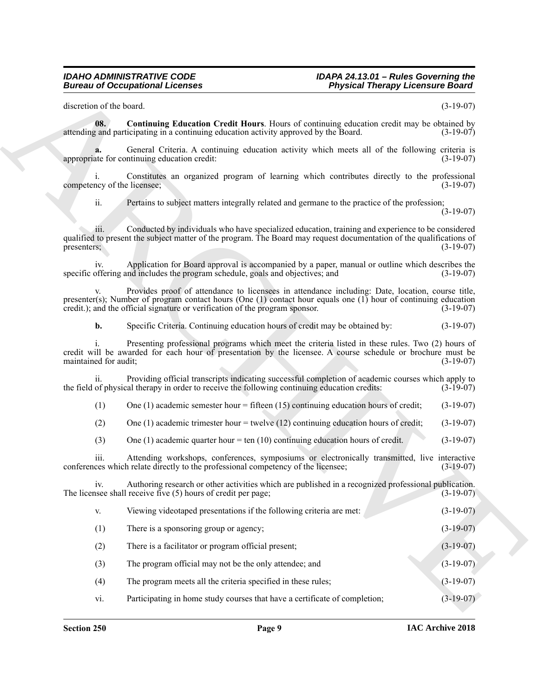#### <span id="page-8-0"></span>*IDAHO ADMINISTRATIVE CODE IDAPA 24.13.01 – Rules Governing the* **Physical Therapy Licensure Board**

|             | <b>Physical Therapy Licensure Board</b>                                                                                                                                                                                   | <b>Bureau of Occupational Licenses</b>                                                        |                                   |
|-------------|---------------------------------------------------------------------------------------------------------------------------------------------------------------------------------------------------------------------------|-----------------------------------------------------------------------------------------------|-----------------------------------|
| $(3-19-07)$ |                                                                                                                                                                                                                           |                                                                                               | discretion of the board.          |
| $(3-19-07)$ | <b>Continuing Education Credit Hours.</b> Hours of continuing education credit may be obtained by                                                                                                                         | attending and participating in a continuing education activity approved by the Board.         | 08.                               |
| $(3-19-07)$ | General Criteria. A continuing education activity which meets all of the following criteria is                                                                                                                            | appropriate for continuing education credit:                                                  | a.                                |
| $(3-19-07)$ | Constitutes an organized program of learning which contributes directly to the professional                                                                                                                               |                                                                                               | 1.<br>competency of the licensee; |
| $(3-19-07)$ | Pertains to subject matters integrally related and germane to the practice of the profession;                                                                                                                             |                                                                                               | ii.                               |
| $(3-19-07)$ | Conducted by individuals who have specialized education, training and experience to be considered<br>qualified to present the subject matter of the program. The Board may request documentation of the qualifications of |                                                                                               | iii.<br>presenters;               |
| $(3-19-07)$ | Application for Board approval is accompanied by a paper, manual or outline which describes the                                                                                                                           | specific offering and includes the program schedule, goals and objectives; and                | iv.                               |
| $(3-19-07)$ | Provides proof of attendance to licensees in attendance including: Date, location, course title,<br>presenter(s); Number of program contact hours (One $(1)$ contact hour equals one $(1)$ hour of continuing education   | credit.); and the official signature or verification of the program sponsor.                  | V.                                |
| $(3-19-07)$ |                                                                                                                                                                                                                           | Specific Criteria. Continuing education hours of credit may be obtained by:                   | b.                                |
| $(3-19-07)$ | Presenting professional programs which meet the criteria listed in these rules. Two (2) hours of<br>credit will be awarded for each hour of presentation by the licensee. A course schedule or brochure must be           |                                                                                               | maintained for audit;             |
| $(3-19-07)$ | Providing official transcripts indicating successful completion of academic courses which apply to                                                                                                                        | the field of physical therapy in order to receive the following continuing education credits: | ii.                               |
| $(3-19-07)$ | One $(1)$ academic semester hour = fifteen $(15)$ continuing education hours of credit;                                                                                                                                   |                                                                                               | (1)                               |
| $(3-19-07)$ | One (1) academic trimester hour $=$ twelve (12) continuing education hours of credit;                                                                                                                                     |                                                                                               | (2)                               |
| $(3-19-07)$ |                                                                                                                                                                                                                           | One (1) academic quarter hour = ten (10) continuing education hours of credit.                | (3)                               |
| $(3-19-07)$ | Attending workshops, conferences, symposiums or electronically transmitted, live interactive                                                                                                                              | conferences which relate directly to the professional competency of the licensee;             | iii.                              |
| $(3-19-07)$ | Authoring research or other activities which are published in a recognized professional publication.                                                                                                                      | The licensee shall receive five $(5)$ hours of credit per page;                               | iv.                               |
| $(3-19-07)$ |                                                                                                                                                                                                                           | Viewing videotaped presentations if the following criteria are met:                           | V.                                |
| $(3-19-07)$ |                                                                                                                                                                                                                           | There is a sponsoring group or agency;                                                        | (1)                               |
| $(3-19-07)$ |                                                                                                                                                                                                                           | There is a facilitator or program official present;                                           | (2)                               |
| $(3-19-07)$ |                                                                                                                                                                                                                           | The program official may not be the only attendee; and                                        | (3)                               |
| $(3-19-07)$ |                                                                                                                                                                                                                           | The program meets all the criteria specified in these rules;                                  | (4)                               |
| $(3-19-07)$ | Participating in home study courses that have a certificate of completion;                                                                                                                                                |                                                                                               | vi.                               |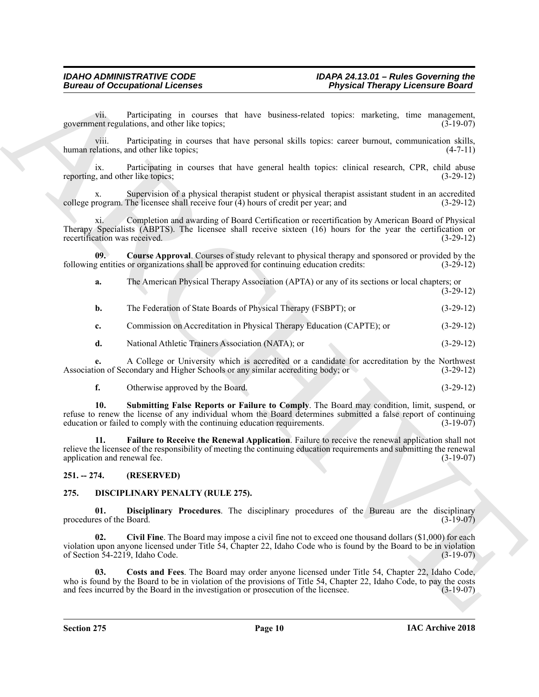| Participating in courses that have business-related topics: marketing, time management,<br>vii.<br>government regulations, and other like topics;<br>$(3-19-07)$<br>Participating in courses that have personal skills topics: career burnout, communication skills,<br>V111.<br>human relations, and other like topics;<br>$(4-7-11)$<br>Participating in courses that have general health topics: clinical research, CPR, child abuse<br>$\overline{1}X$ .<br>reporting, and other like topics;<br>$(3-29-12)$<br>Supervision of a physical therapist student or physical therapist assistant student in an accredited<br>X.<br>college program. The licensee shall receive four $(4)$ hours of credit per year; and<br>$(3-29-12)$<br>xi.<br>Completion and awarding of Board Certification or recertification by American Board of Physical<br>Therapy Specialists (ABPTS). The licensee shall receive sixteen (16) hours for the year the certification or<br>recertification was received.<br>$(3-29-12)$<br>09.<br><b>Course Approval.</b> Courses of study relevant to physical therapy and sponsored or provided by the<br>following entities or organizations shall be approved for continuing education credits:<br>$(3-29-12)$<br>The American Physical Therapy Association (APTA) or any of its sections or local chapters; or<br>a.<br>$(3-29-12)$<br>The Federation of State Boards of Physical Therapy (FSBPT); or<br>$(3-29-12)$<br>$\mathbf{b}$ .<br>Commission on Accreditation in Physical Therapy Education (CAPTE); or<br>$(3-29-12)$<br>c.<br>d.<br>National Athletic Trainers Association (NATA); or<br>$(3-29-12)$<br>A College or University which is accredited or a candidate for accreditation by the Northwest<br>Association of Secondary and Higher Schools or any similar accrediting body; or<br>$(3-29-12)$<br>f.<br>Otherwise approved by the Board.<br>$(3-29-12)$<br>Submitting False Reports or Failure to Comply. The Board may condition, limit, suspend, or<br>10.<br>refuse to renew the license of any individual whom the Board determines submitted a false report of continuing<br>education or failed to comply with the continuing education requirements.<br>$(3-19-07)$<br>Failure to Receive the Renewal Application. Failure to receive the renewal application shall not<br>11.<br>relieve the licensee of the responsibility of meeting the continuing education requirements and submitting the renewal<br>application and renewal fee.<br>$(3-19-07)$<br>$251. - 274.$<br>(RESERVED)<br>275.<br><b>DISCIPLINARY PENALTY (RULE 275).</b><br>Disciplinary Procedures. The disciplinary procedures of the Bureau are the disciplinary<br>01.<br>procedures of the Board.<br>$(3-19-07)$<br>02.<br>Civil Fine. The Board may impose a civil fine not to exceed one thousand dollars (\$1,000) for each<br>violation upon anyone licensed under Title 54, Chapter 22, Idaho Code who is found by the Board to be in violation<br>of Section 54-2219, Idaho Code.<br>$(3-19-07)$<br>Costs and Fees. The Board may order anyone licensed under Title 54, Chapter 22, Idaho Code,<br>03.<br>who is found by the Board to be in violation of the provisions of Title 54, Chapter 22, Idaho Code, to pay the costs<br>and fees incurred by the Board in the investigation or prosecution of the licensee.<br>$(3-19-07)$ |  | <b>Bureau of Occupational Licenses</b> | <b>Physical Therapy Licensure Board</b> |  |
|-------------------------------------------------------------------------------------------------------------------------------------------------------------------------------------------------------------------------------------------------------------------------------------------------------------------------------------------------------------------------------------------------------------------------------------------------------------------------------------------------------------------------------------------------------------------------------------------------------------------------------------------------------------------------------------------------------------------------------------------------------------------------------------------------------------------------------------------------------------------------------------------------------------------------------------------------------------------------------------------------------------------------------------------------------------------------------------------------------------------------------------------------------------------------------------------------------------------------------------------------------------------------------------------------------------------------------------------------------------------------------------------------------------------------------------------------------------------------------------------------------------------------------------------------------------------------------------------------------------------------------------------------------------------------------------------------------------------------------------------------------------------------------------------------------------------------------------------------------------------------------------------------------------------------------------------------------------------------------------------------------------------------------------------------------------------------------------------------------------------------------------------------------------------------------------------------------------------------------------------------------------------------------------------------------------------------------------------------------------------------------------------------------------------------------------------------------------------------------------------------------------------------------------------------------------------------------------------------------------------------------------------------------------------------------------------------------------------------------------------------------------------------------------------------------------------------------------------------------------------------------------------------------------------------------------------------------------------------------------------------------------------------------------------------------------------------------------------------------------------------------------------------------------------------------------------------------------------------------------------------------------------------------------------------------------------------------------------------------------------------|--|----------------------------------------|-----------------------------------------|--|
|                                                                                                                                                                                                                                                                                                                                                                                                                                                                                                                                                                                                                                                                                                                                                                                                                                                                                                                                                                                                                                                                                                                                                                                                                                                                                                                                                                                                                                                                                                                                                                                                                                                                                                                                                                                                                                                                                                                                                                                                                                                                                                                                                                                                                                                                                                                                                                                                                                                                                                                                                                                                                                                                                                                                                                                                                                                                                                                                                                                                                                                                                                                                                                                                                                                                                                                                                                         |  |                                        |                                         |  |
|                                                                                                                                                                                                                                                                                                                                                                                                                                                                                                                                                                                                                                                                                                                                                                                                                                                                                                                                                                                                                                                                                                                                                                                                                                                                                                                                                                                                                                                                                                                                                                                                                                                                                                                                                                                                                                                                                                                                                                                                                                                                                                                                                                                                                                                                                                                                                                                                                                                                                                                                                                                                                                                                                                                                                                                                                                                                                                                                                                                                                                                                                                                                                                                                                                                                                                                                                                         |  |                                        |                                         |  |
|                                                                                                                                                                                                                                                                                                                                                                                                                                                                                                                                                                                                                                                                                                                                                                                                                                                                                                                                                                                                                                                                                                                                                                                                                                                                                                                                                                                                                                                                                                                                                                                                                                                                                                                                                                                                                                                                                                                                                                                                                                                                                                                                                                                                                                                                                                                                                                                                                                                                                                                                                                                                                                                                                                                                                                                                                                                                                                                                                                                                                                                                                                                                                                                                                                                                                                                                                                         |  |                                        |                                         |  |
|                                                                                                                                                                                                                                                                                                                                                                                                                                                                                                                                                                                                                                                                                                                                                                                                                                                                                                                                                                                                                                                                                                                                                                                                                                                                                                                                                                                                                                                                                                                                                                                                                                                                                                                                                                                                                                                                                                                                                                                                                                                                                                                                                                                                                                                                                                                                                                                                                                                                                                                                                                                                                                                                                                                                                                                                                                                                                                                                                                                                                                                                                                                                                                                                                                                                                                                                                                         |  |                                        |                                         |  |
|                                                                                                                                                                                                                                                                                                                                                                                                                                                                                                                                                                                                                                                                                                                                                                                                                                                                                                                                                                                                                                                                                                                                                                                                                                                                                                                                                                                                                                                                                                                                                                                                                                                                                                                                                                                                                                                                                                                                                                                                                                                                                                                                                                                                                                                                                                                                                                                                                                                                                                                                                                                                                                                                                                                                                                                                                                                                                                                                                                                                                                                                                                                                                                                                                                                                                                                                                                         |  |                                        |                                         |  |
|                                                                                                                                                                                                                                                                                                                                                                                                                                                                                                                                                                                                                                                                                                                                                                                                                                                                                                                                                                                                                                                                                                                                                                                                                                                                                                                                                                                                                                                                                                                                                                                                                                                                                                                                                                                                                                                                                                                                                                                                                                                                                                                                                                                                                                                                                                                                                                                                                                                                                                                                                                                                                                                                                                                                                                                                                                                                                                                                                                                                                                                                                                                                                                                                                                                                                                                                                                         |  |                                        |                                         |  |
|                                                                                                                                                                                                                                                                                                                                                                                                                                                                                                                                                                                                                                                                                                                                                                                                                                                                                                                                                                                                                                                                                                                                                                                                                                                                                                                                                                                                                                                                                                                                                                                                                                                                                                                                                                                                                                                                                                                                                                                                                                                                                                                                                                                                                                                                                                                                                                                                                                                                                                                                                                                                                                                                                                                                                                                                                                                                                                                                                                                                                                                                                                                                                                                                                                                                                                                                                                         |  |                                        |                                         |  |
|                                                                                                                                                                                                                                                                                                                                                                                                                                                                                                                                                                                                                                                                                                                                                                                                                                                                                                                                                                                                                                                                                                                                                                                                                                                                                                                                                                                                                                                                                                                                                                                                                                                                                                                                                                                                                                                                                                                                                                                                                                                                                                                                                                                                                                                                                                                                                                                                                                                                                                                                                                                                                                                                                                                                                                                                                                                                                                                                                                                                                                                                                                                                                                                                                                                                                                                                                                         |  |                                        |                                         |  |
|                                                                                                                                                                                                                                                                                                                                                                                                                                                                                                                                                                                                                                                                                                                                                                                                                                                                                                                                                                                                                                                                                                                                                                                                                                                                                                                                                                                                                                                                                                                                                                                                                                                                                                                                                                                                                                                                                                                                                                                                                                                                                                                                                                                                                                                                                                                                                                                                                                                                                                                                                                                                                                                                                                                                                                                                                                                                                                                                                                                                                                                                                                                                                                                                                                                                                                                                                                         |  |                                        |                                         |  |
|                                                                                                                                                                                                                                                                                                                                                                                                                                                                                                                                                                                                                                                                                                                                                                                                                                                                                                                                                                                                                                                                                                                                                                                                                                                                                                                                                                                                                                                                                                                                                                                                                                                                                                                                                                                                                                                                                                                                                                                                                                                                                                                                                                                                                                                                                                                                                                                                                                                                                                                                                                                                                                                                                                                                                                                                                                                                                                                                                                                                                                                                                                                                                                                                                                                                                                                                                                         |  |                                        |                                         |  |
|                                                                                                                                                                                                                                                                                                                                                                                                                                                                                                                                                                                                                                                                                                                                                                                                                                                                                                                                                                                                                                                                                                                                                                                                                                                                                                                                                                                                                                                                                                                                                                                                                                                                                                                                                                                                                                                                                                                                                                                                                                                                                                                                                                                                                                                                                                                                                                                                                                                                                                                                                                                                                                                                                                                                                                                                                                                                                                                                                                                                                                                                                                                                                                                                                                                                                                                                                                         |  |                                        |                                         |  |
|                                                                                                                                                                                                                                                                                                                                                                                                                                                                                                                                                                                                                                                                                                                                                                                                                                                                                                                                                                                                                                                                                                                                                                                                                                                                                                                                                                                                                                                                                                                                                                                                                                                                                                                                                                                                                                                                                                                                                                                                                                                                                                                                                                                                                                                                                                                                                                                                                                                                                                                                                                                                                                                                                                                                                                                                                                                                                                                                                                                                                                                                                                                                                                                                                                                                                                                                                                         |  |                                        |                                         |  |
|                                                                                                                                                                                                                                                                                                                                                                                                                                                                                                                                                                                                                                                                                                                                                                                                                                                                                                                                                                                                                                                                                                                                                                                                                                                                                                                                                                                                                                                                                                                                                                                                                                                                                                                                                                                                                                                                                                                                                                                                                                                                                                                                                                                                                                                                                                                                                                                                                                                                                                                                                                                                                                                                                                                                                                                                                                                                                                                                                                                                                                                                                                                                                                                                                                                                                                                                                                         |  |                                        |                                         |  |
|                                                                                                                                                                                                                                                                                                                                                                                                                                                                                                                                                                                                                                                                                                                                                                                                                                                                                                                                                                                                                                                                                                                                                                                                                                                                                                                                                                                                                                                                                                                                                                                                                                                                                                                                                                                                                                                                                                                                                                                                                                                                                                                                                                                                                                                                                                                                                                                                                                                                                                                                                                                                                                                                                                                                                                                                                                                                                                                                                                                                                                                                                                                                                                                                                                                                                                                                                                         |  |                                        |                                         |  |
|                                                                                                                                                                                                                                                                                                                                                                                                                                                                                                                                                                                                                                                                                                                                                                                                                                                                                                                                                                                                                                                                                                                                                                                                                                                                                                                                                                                                                                                                                                                                                                                                                                                                                                                                                                                                                                                                                                                                                                                                                                                                                                                                                                                                                                                                                                                                                                                                                                                                                                                                                                                                                                                                                                                                                                                                                                                                                                                                                                                                                                                                                                                                                                                                                                                                                                                                                                         |  |                                        |                                         |  |
|                                                                                                                                                                                                                                                                                                                                                                                                                                                                                                                                                                                                                                                                                                                                                                                                                                                                                                                                                                                                                                                                                                                                                                                                                                                                                                                                                                                                                                                                                                                                                                                                                                                                                                                                                                                                                                                                                                                                                                                                                                                                                                                                                                                                                                                                                                                                                                                                                                                                                                                                                                                                                                                                                                                                                                                                                                                                                                                                                                                                                                                                                                                                                                                                                                                                                                                                                                         |  |                                        |                                         |  |
|                                                                                                                                                                                                                                                                                                                                                                                                                                                                                                                                                                                                                                                                                                                                                                                                                                                                                                                                                                                                                                                                                                                                                                                                                                                                                                                                                                                                                                                                                                                                                                                                                                                                                                                                                                                                                                                                                                                                                                                                                                                                                                                                                                                                                                                                                                                                                                                                                                                                                                                                                                                                                                                                                                                                                                                                                                                                                                                                                                                                                                                                                                                                                                                                                                                                                                                                                                         |  |                                        |                                         |  |
|                                                                                                                                                                                                                                                                                                                                                                                                                                                                                                                                                                                                                                                                                                                                                                                                                                                                                                                                                                                                                                                                                                                                                                                                                                                                                                                                                                                                                                                                                                                                                                                                                                                                                                                                                                                                                                                                                                                                                                                                                                                                                                                                                                                                                                                                                                                                                                                                                                                                                                                                                                                                                                                                                                                                                                                                                                                                                                                                                                                                                                                                                                                                                                                                                                                                                                                                                                         |  |                                        |                                         |  |
|                                                                                                                                                                                                                                                                                                                                                                                                                                                                                                                                                                                                                                                                                                                                                                                                                                                                                                                                                                                                                                                                                                                                                                                                                                                                                                                                                                                                                                                                                                                                                                                                                                                                                                                                                                                                                                                                                                                                                                                                                                                                                                                                                                                                                                                                                                                                                                                                                                                                                                                                                                                                                                                                                                                                                                                                                                                                                                                                                                                                                                                                                                                                                                                                                                                                                                                                                                         |  |                                        |                                         |  |

<span id="page-9-4"></span><span id="page-9-3"></span><span id="page-9-2"></span>

| Otherwise approved by the Board. | $(3-29-12)$ |
|----------------------------------|-------------|
|                                  |             |

# <span id="page-9-0"></span>**251. -- 274. (RESERVED)**

# <span id="page-9-8"></span><span id="page-9-7"></span><span id="page-9-6"></span><span id="page-9-5"></span><span id="page-9-1"></span>**275. DISCIPLINARY PENALTY (RULE 275).**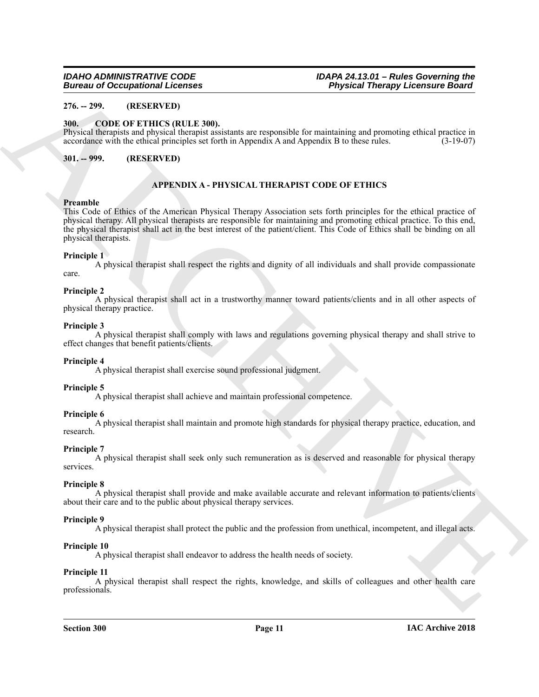# <span id="page-10-0"></span>**276. -- 299. (RESERVED)**

# <span id="page-10-4"></span><span id="page-10-1"></span>**300. CODE OF ETHICS (RULE 300).**

Physical therapists and physical therapist assistants are responsible for maintaining and promoting ethical practice in accordance with the ethical principles set forth in Appendix A and Appendix B to these rules. (3-19-07)

<span id="page-10-2"></span>**301. -- 999. (RESERVED)**

### <span id="page-10-3"></span>**APPENDIX A - PHYSICAL THERAPIST CODE OF ETHICS**

### **Preamble**

Bureau of Occupational Leones<br>
2No. – 2No. HANNEV LEONES<br>
2No. – 2No. HANNEV LEONES<br>
2No. – 2No. 100 ENERGY END TOWER (SOMETIME AND SURFAME TO THE INSURANCE CONTROLL)<br>
2NU<sub>-</sub>–999.<br>
2NU<sub>-–999</sub>. (RESURVENT)<br>
2NU<sub>-–999</sub>. (RE This Code of Ethics of the American Physical Therapy Association sets forth principles for the ethical practice of physical therapy. All physical therapists are responsible for maintaining and promoting ethical practice. To this end, the physical therapist shall act in the best interest of the patient/client. This Code of Ethics shall be binding on all physical therapists.

#### **Principle 1**

A physical therapist shall respect the rights and dignity of all individuals and shall provide compassionate care.

### **Principle 2**

A physical therapist shall act in a trustworthy manner toward patients/clients and in all other aspects of physical therapy practice.

#### **Principle 3**

A physical therapist shall comply with laws and regulations governing physical therapy and shall strive to effect changes that benefit patients/clients.

### **Principle 4**

A physical therapist shall exercise sound professional judgment.

### **Principle 5**

A physical therapist shall achieve and maintain professional competence.

### **Principle 6**

A physical therapist shall maintain and promote high standards for physical therapy practice, education, and research.

### **Principle 7**

A physical therapist shall seek only such remuneration as is deserved and reasonable for physical therapy services.

### **Principle 8**

A physical therapist shall provide and make available accurate and relevant information to patients/clients about their care and to the public about physical therapy services.

### **Principle 9**

A physical therapist shall protect the public and the profession from unethical, incompetent, and illegal acts.

### **Principle 10**

A physical therapist shall endeavor to address the health needs of society.

### **Principle 11**

A physical therapist shall respect the rights, knowledge, and skills of colleagues and other health care professionals.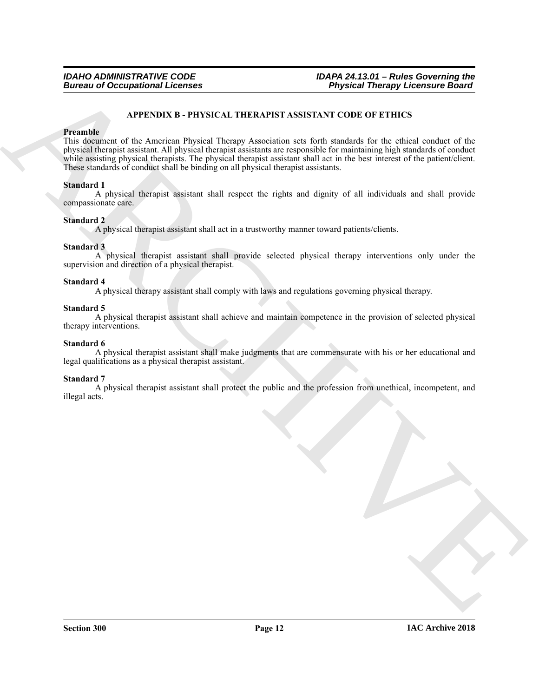# <span id="page-11-0"></span>**APPENDIX B - PHYSICAL THERAPIST ASSISTANT CODE OF ETHICS**

### **Preamble**

Bureau of Occupational Leonies<br>
ARTENDIX B - PHYSICAL THERMPS ASSISTANT (CODE OF ETHICS<br>
This decomposition of the American Payton Hermy Association are (in the maintain for the ethical contact of the<br>
rolling the main of This document of the American Physical Therapy Association sets forth standards for the ethical conduct of the physical therapist assistant. All physical therapist assistants are responsible for maintaining high standards of conduct while assisting physical therapists. The physical therapist assistant shall act in the best interest of the patient/client. These standards of conduct shall be binding on all physical therapist assistants.

# **Standard 1**

A physical therapist assistant shall respect the rights and dignity of all individuals and shall provide compassionate care.

# **Standard 2**

A physical therapist assistant shall act in a trustworthy manner toward patients/clients.

# **Standard 3**

A physical therapist assistant shall provide selected physical therapy interventions only under the supervision and direction of a physical therapist.

# **Standard 4**

A physical therapy assistant shall comply with laws and regulations governing physical therapy.

# **Standard 5**

A physical therapist assistant shall achieve and maintain competence in the provision of selected physical therapy interventions.

# **Standard 6**

A physical therapist assistant shall make judgments that are commensurate with his or her educational and legal qualifications as a physical therapist assistant.

# **Standard 7**

A physical therapist assistant shall protect the public and the profession from unethical, incompetent, and illegal acts.